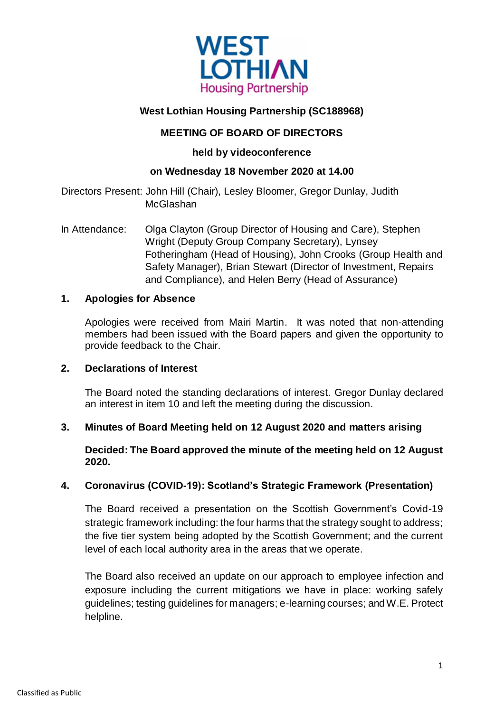

# **West Lothian Housing Partnership (SC188968)**

## **MEETING OF BOARD OF DIRECTORS**

## **held by videoconference**

## **on Wednesday 18 November 2020 at 14.00**

Directors Present: John Hill (Chair), Lesley Bloomer, Gregor Dunlay, Judith **McGlashan** 

In Attendance: Olga Clayton (Group Director of Housing and Care), Stephen Wright (Deputy Group Company Secretary), Lynsey Fotheringham (Head of Housing), John Crooks (Group Health and Safety Manager), Brian Stewart (Director of Investment, Repairs and Compliance), and Helen Berry (Head of Assurance)

## **1. Apologies for Absence**

Apologies were received from Mairi Martin. It was noted that non-attending members had been issued with the Board papers and given the opportunity to provide feedback to the Chair.

## **2. Declarations of Interest**

The Board noted the standing declarations of interest. Gregor Dunlay declared an interest in item 10 and left the meeting during the discussion.

## **3. Minutes of Board Meeting held on 12 August 2020 and matters arising**

## **Decided: The Board approved the minute of the meeting held on 12 August 2020.**

## **4. Coronavirus (COVID-19): Scotland's Strategic Framework (Presentation)**

The Board received a presentation on the Scottish Government's Covid-19 strategic framework including: the four harms that the strategy sought to address; the five tier system being adopted by the Scottish Government; and the current level of each local authority area in the areas that we operate.

The Board also received an update on our approach to employee infection and exposure including the current mitigations we have in place: working safely guidelines; testing guidelines for managers; e-learning courses; and W.E. Protect helpline.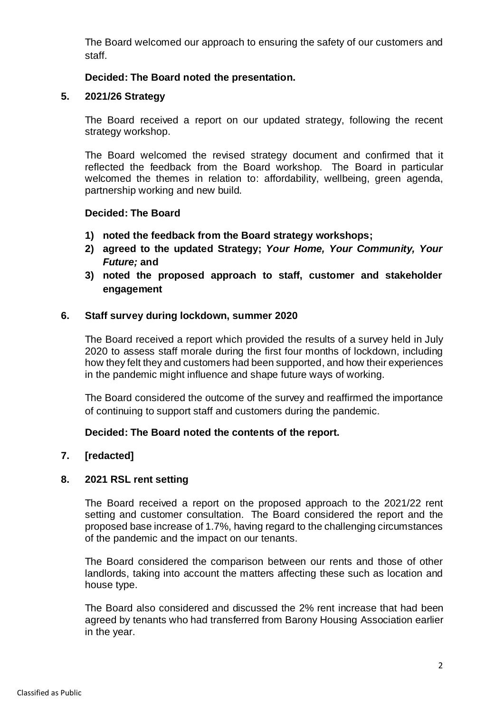The Board welcomed our approach to ensuring the safety of our customers and staff.

## **Decided: The Board noted the presentation.**

### **5. 2021/26 Strategy**

The Board received a report on our updated strategy, following the recent strategy workshop.

The Board welcomed the revised strategy document and confirmed that it reflected the feedback from the Board workshop. The Board in particular welcomed the themes in relation to: affordability, wellbeing, green agenda, partnership working and new build.

#### **Decided: The Board**

- **1) noted the feedback from the Board strategy workshops;**
- **2) agreed to the updated Strategy;** *Your Home, Your Community, Your Future;* **and**
- **3) noted the proposed approach to staff, customer and stakeholder engagement**

#### **6. Staff survey during lockdown, summer 2020**

The Board received a report which provided the results of a survey held in July 2020 to assess staff morale during the first four months of lockdown, including how they felt they and customers had been supported, and how their experiences in the pandemic might influence and shape future ways of working.

The Board considered the outcome of the survey and reaffirmed the importance of continuing to support staff and customers during the pandemic.

## **Decided: The Board noted the contents of the report.**

#### **7. [redacted]**

#### **8. 2021 RSL rent setting**

The Board received a report on the proposed approach to the 2021/22 rent setting and customer consultation. The Board considered the report and the proposed base increase of 1.7%, having regard to the challenging circumstances of the pandemic and the impact on our tenants.

The Board considered the comparison between our rents and those of other landlords, taking into account the matters affecting these such as location and house type.

The Board also considered and discussed the 2% rent increase that had been agreed by tenants who had transferred from Barony Housing Association earlier in the year.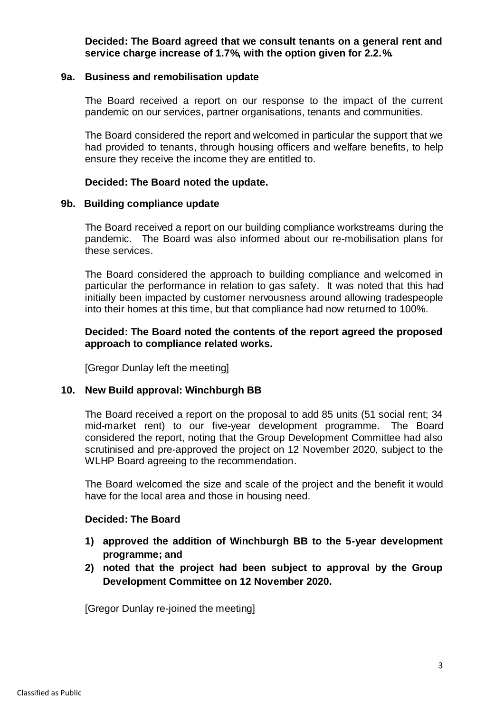**Decided: The Board agreed that we consult tenants on a general rent and service charge increase of 1.7%, with the option given for 2.2.%.**

#### **9a. Business and remobilisation update**

The Board received a report on our response to the impact of the current pandemic on our services, partner organisations, tenants and communities.

The Board considered the report and welcomed in particular the support that we had provided to tenants, through housing officers and welfare benefits, to help ensure they receive the income they are entitled to.

## **Decided: The Board noted the update.**

#### **9b. Building compliance update**

The Board received a report on our building compliance workstreams during the pandemic. The Board was also informed about our re-mobilisation plans for these services.

The Board considered the approach to building compliance and welcomed in particular the performance in relation to gas safety. It was noted that this had initially been impacted by customer nervousness around allowing tradespeople into their homes at this time, but that compliance had now returned to 100%.

## **Decided: The Board noted the contents of the report agreed the proposed approach to compliance related works.**

[Gregor Dunlay left the meeting]

## **10. New Build approval: Winchburgh BB**

The Board received a report on the proposal to add 85 units (51 social rent; 34 mid-market rent) to our five-year development programme. The Board considered the report, noting that the Group Development Committee had also scrutinised and pre-approved the project on 12 November 2020, subject to the WLHP Board agreeing to the recommendation.

The Board welcomed the size and scale of the project and the benefit it would have for the local area and those in housing need.

#### **Decided: The Board**

- **1) approved the addition of Winchburgh BB to the 5-year development programme; and**
- **2) noted that the project had been subject to approval by the Group Development Committee on 12 November 2020.**

[Gregor Dunlay re-joined the meeting]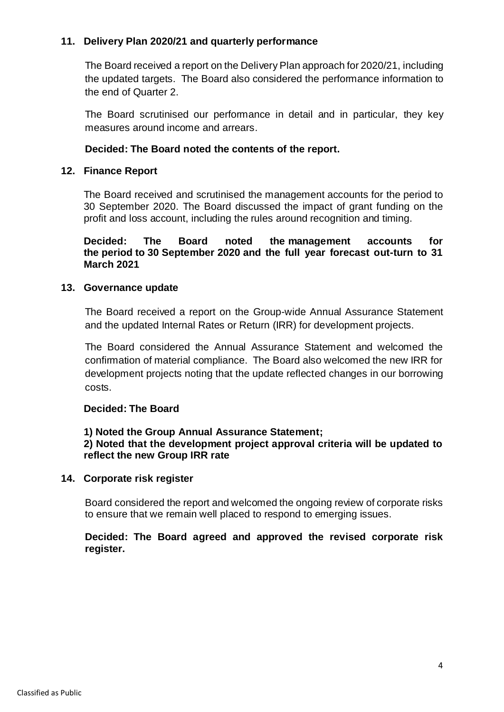## **11. Delivery Plan 2020/21 and quarterly performance**

The Board received a report on the Delivery Plan approach for 2020/21, including the updated targets. The Board also considered the performance information to the end of Quarter 2.

The Board scrutinised our performance in detail and in particular, they key measures around income and arrears.

## **Decided: The Board noted the contents of the report.**

#### **12. Finance Report**

The Board received and scrutinised the management accounts for the period to 30 September 2020. The Board discussed the impact of grant funding on the profit and loss account, including the rules around recognition and timing.

**Decided: The Board noted the management accounts for the period to 30 September 2020 and the full year forecast out-turn to 31 March 2021**

#### **13. Governance update**

The Board received a report on the Group-wide Annual Assurance Statement and the updated Internal Rates or Return (IRR) for development projects.

The Board considered the Annual Assurance Statement and welcomed the confirmation of material compliance. The Board also welcomed the new IRR for development projects noting that the update reflected changes in our borrowing costs.

#### **Decided: The Board**

## **1) Noted the Group Annual Assurance Statement;**

## **2) Noted that the development project approval criteria will be updated to reflect the new Group IRR rate**

## **14. Corporate risk register**

Board considered the report and welcomed the ongoing review of corporate risks to ensure that we remain well placed to respond to emerging issues.

## **Decided: The Board agreed and approved the revised corporate risk register.**